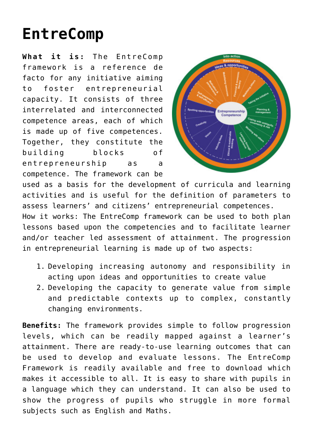## **[EntreComp](http://entreassess.com/2018/05/29/entrecomp/)**

**What it is:** The [EntreComp](https://ec.europa.eu/jrc/en/publication/eur-scientific-and-technical-research-reports/entrecomp-entrepreneurship-competence-framework) [framework](https://ec.europa.eu/jrc/en/publication/eur-scientific-and-technical-research-reports/entrecomp-entrepreneurship-competence-framework) is a reference de facto for any initiative aiming to foster entrepreneurial capacity. It consists of three interrelated and interconnected competence areas, each of which is made up of five competences. Together, they constitute the building blocks of entrepreneurship as a competence. The framework can be



used as a basis for the development of curricula and learning activities and is useful for the definition of parameters to assess learners' and citizens' entrepreneurial competences.

How it works: The EntreComp framework can be used to both plan lessons based upon the competencies and to facilitate learner and/or teacher led assessment of attainment. The progression in entrepreneurial learning is made up of two aspects:

- 1. Developing increasing autonomy and responsibility in acting upon ideas and opportunities to create value
- 2. Developing the capacity to generate value from simple and predictable contexts up to complex, constantly changing environments.

**Benefits:** The framework provides simple to follow progression levels, which can be readily mapped against a learner's attainment. There are ready-to-use learning outcomes that can be used to develop and evaluate lessons. The EntreComp Framework is readily available and free to download which makes it accessible to all. It is easy to share with pupils in a language which they can understand. It can also be used to show the progress of pupils who struggle in more formal subjects such as English and Maths.